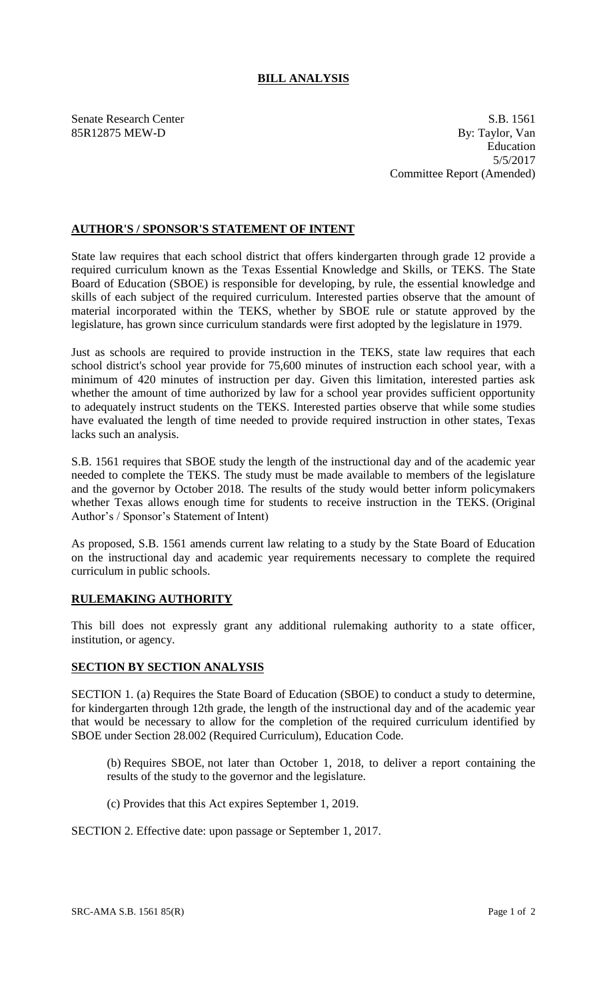## **BILL ANALYSIS**

Senate Research Center S.B. 1561 85R12875 MEW-D By: Taylor, Van Education 5/5/2017 Committee Report (Amended)

### **AUTHOR'S / SPONSOR'S STATEMENT OF INTENT**

State law requires that each school district that offers kindergarten through grade 12 provide a required curriculum known as the Texas Essential Knowledge and Skills, or TEKS. The State Board of Education (SBOE) is responsible for developing, by rule, the essential knowledge and skills of each subject of the required curriculum. Interested parties observe that the amount of material incorporated within the TEKS, whether by SBOE rule or statute approved by the legislature, has grown since curriculum standards were first adopted by the legislature in 1979.

Just as schools are required to provide instruction in the TEKS, state law requires that each school district's school year provide for 75,600 minutes of instruction each school year, with a minimum of 420 minutes of instruction per day. Given this limitation, interested parties ask whether the amount of time authorized by law for a school year provides sufficient opportunity to adequately instruct students on the TEKS. Interested parties observe that while some studies have evaluated the length of time needed to provide required instruction in other states, Texas lacks such an analysis.

S.B. 1561 requires that SBOE study the length of the instructional day and of the academic year needed to complete the TEKS. The study must be made available to members of the legislature and the governor by October 2018. The results of the study would better inform policymakers whether Texas allows enough time for students to receive instruction in the TEKS. (Original Author's / Sponsor's Statement of Intent)

As proposed, S.B. 1561 amends current law relating to a study by the State Board of Education on the instructional day and academic year requirements necessary to complete the required curriculum in public schools.

#### **RULEMAKING AUTHORITY**

This bill does not expressly grant any additional rulemaking authority to a state officer, institution, or agency.

#### **SECTION BY SECTION ANALYSIS**

SECTION 1. (a) Requires the State Board of Education (SBOE) to conduct a study to determine, for kindergarten through 12th grade, the length of the instructional day and of the academic year that would be necessary to allow for the completion of the required curriculum identified by SBOE under Section 28.002 (Required Curriculum), Education Code.

(b) Requires SBOE, not later than October 1, 2018, to deliver a report containing the results of the study to the governor and the legislature.

(c) Provides that this Act expires September 1, 2019.

SECTION 2. Effective date: upon passage or September 1, 2017.